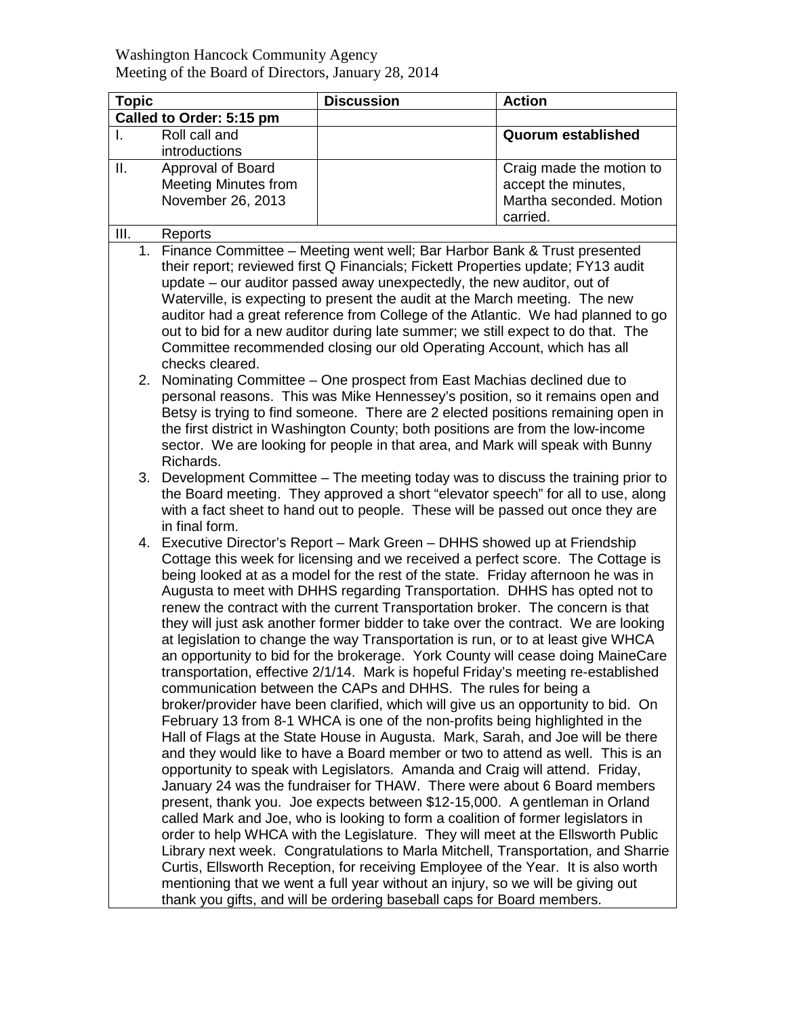| <b>Topic</b>             |                                                                                                                                                                   | <b>Discussion</b>                                                                 | <b>Action</b>             |  |  |
|--------------------------|-------------------------------------------------------------------------------------------------------------------------------------------------------------------|-----------------------------------------------------------------------------------|---------------------------|--|--|
| Called to Order: 5:15 pm |                                                                                                                                                                   |                                                                                   |                           |  |  |
| I.                       | Roll call and                                                                                                                                                     |                                                                                   | <b>Quorum established</b> |  |  |
|                          | introductions                                                                                                                                                     |                                                                                   |                           |  |  |
| ΙΙ.                      | Approval of Board                                                                                                                                                 |                                                                                   | Craig made the motion to  |  |  |
|                          | <b>Meeting Minutes from</b>                                                                                                                                       |                                                                                   | accept the minutes,       |  |  |
|                          | November 26, 2013                                                                                                                                                 |                                                                                   | Martha seconded. Motion   |  |  |
|                          |                                                                                                                                                                   |                                                                                   | carried.                  |  |  |
| Ш.                       | Reports                                                                                                                                                           |                                                                                   |                           |  |  |
| 1.                       |                                                                                                                                                                   | Finance Committee - Meeting went well; Bar Harbor Bank & Trust presented          |                           |  |  |
|                          |                                                                                                                                                                   | their report; reviewed first Q Financials; Fickett Properties update; FY13 audit  |                           |  |  |
|                          |                                                                                                                                                                   | update – our auditor passed away unexpectedly, the new auditor, out of            |                           |  |  |
|                          |                                                                                                                                                                   | Waterville, is expecting to present the audit at the March meeting. The new       |                           |  |  |
|                          |                                                                                                                                                                   | auditor had a great reference from College of the Atlantic. We had planned to go  |                           |  |  |
|                          |                                                                                                                                                                   | out to bid for a new auditor during late summer; we still expect to do that. The  |                           |  |  |
|                          |                                                                                                                                                                   | Committee recommended closing our old Operating Account, which has all            |                           |  |  |
|                          | checks cleared.                                                                                                                                                   |                                                                                   |                           |  |  |
| 2.                       |                                                                                                                                                                   | Nominating Committee - One prospect from East Machias declined due to             |                           |  |  |
|                          | personal reasons. This was Mike Hennessey's position, so it remains open and                                                                                      |                                                                                   |                           |  |  |
|                          | Betsy is trying to find someone. There are 2 elected positions remaining open in                                                                                  |                                                                                   |                           |  |  |
|                          | the first district in Washington County; both positions are from the low-income<br>sector. We are looking for people in that area, and Mark will speak with Bunny |                                                                                   |                           |  |  |
|                          | Richards.                                                                                                                                                         |                                                                                   |                           |  |  |
|                          |                                                                                                                                                                   | 3. Development Committee – The meeting today was to discuss the training prior to |                           |  |  |
|                          |                                                                                                                                                                   | the Board meeting. They approved a short "elevator speech" for all to use, along  |                           |  |  |
|                          |                                                                                                                                                                   | with a fact sheet to hand out to people. These will be passed out once they are   |                           |  |  |
|                          | in final form.                                                                                                                                                    |                                                                                   |                           |  |  |
| 4.                       |                                                                                                                                                                   | Executive Director's Report – Mark Green – DHHS showed up at Friendship           |                           |  |  |
|                          |                                                                                                                                                                   | Cottage this week for licensing and we received a perfect score. The Cottage is   |                           |  |  |
|                          |                                                                                                                                                                   | being looked at as a model for the rest of the state. Friday afternoon he was in  |                           |  |  |
|                          |                                                                                                                                                                   | Augusta to meet with DHHS regarding Transportation. DHHS has opted not to         |                           |  |  |
|                          |                                                                                                                                                                   | renew the contract with the current Transportation broker. The concern is that    |                           |  |  |
|                          | they will just ask another former bidder to take over the contract. We are looking                                                                                |                                                                                   |                           |  |  |
|                          | at legislation to change the way Transportation is run, or to at least give WHCA                                                                                  |                                                                                   |                           |  |  |
|                          | an opportunity to bid for the brokerage. York County will cease doing MaineCare                                                                                   |                                                                                   |                           |  |  |
|                          | transportation, effective 2/1/14. Mark is hopeful Friday's meeting re-established                                                                                 |                                                                                   |                           |  |  |
|                          |                                                                                                                                                                   | communication between the CAPs and DHHS. The rules for being a                    |                           |  |  |
|                          |                                                                                                                                                                   | broker/provider have been clarified, which will give us an opportunity to bid. On |                           |  |  |
|                          |                                                                                                                                                                   | February 13 from 8-1 WHCA is one of the non-profits being highlighted in the      |                           |  |  |
|                          |                                                                                                                                                                   | Hall of Flags at the State House in Augusta. Mark, Sarah, and Joe will be there   |                           |  |  |
|                          |                                                                                                                                                                   | and they would like to have a Board member or two to attend as well. This is an   |                           |  |  |
|                          |                                                                                                                                                                   | opportunity to speak with Legislators. Amanda and Craig will attend. Friday,      |                           |  |  |
|                          |                                                                                                                                                                   | January 24 was the fundraiser for THAW. There were about 6 Board members          |                           |  |  |
|                          |                                                                                                                                                                   | present, thank you. Joe expects between \$12-15,000. A gentleman in Orland        |                           |  |  |
|                          |                                                                                                                                                                   | called Mark and Joe, who is looking to form a coalition of former legislators in  |                           |  |  |
|                          |                                                                                                                                                                   | order to help WHCA with the Legislature. They will meet at the Ellsworth Public   |                           |  |  |
|                          |                                                                                                                                                                   | Library next week. Congratulations to Marla Mitchell, Transportation, and Sharrie |                           |  |  |
|                          |                                                                                                                                                                   | Curtis, Ellsworth Reception, for receiving Employee of the Year. It is also worth |                           |  |  |
|                          |                                                                                                                                                                   | mentioning that we went a full year without an injury, so we will be giving out   |                           |  |  |
|                          |                                                                                                                                                                   | thank you gifts, and will be ordering baseball caps for Board members.            |                           |  |  |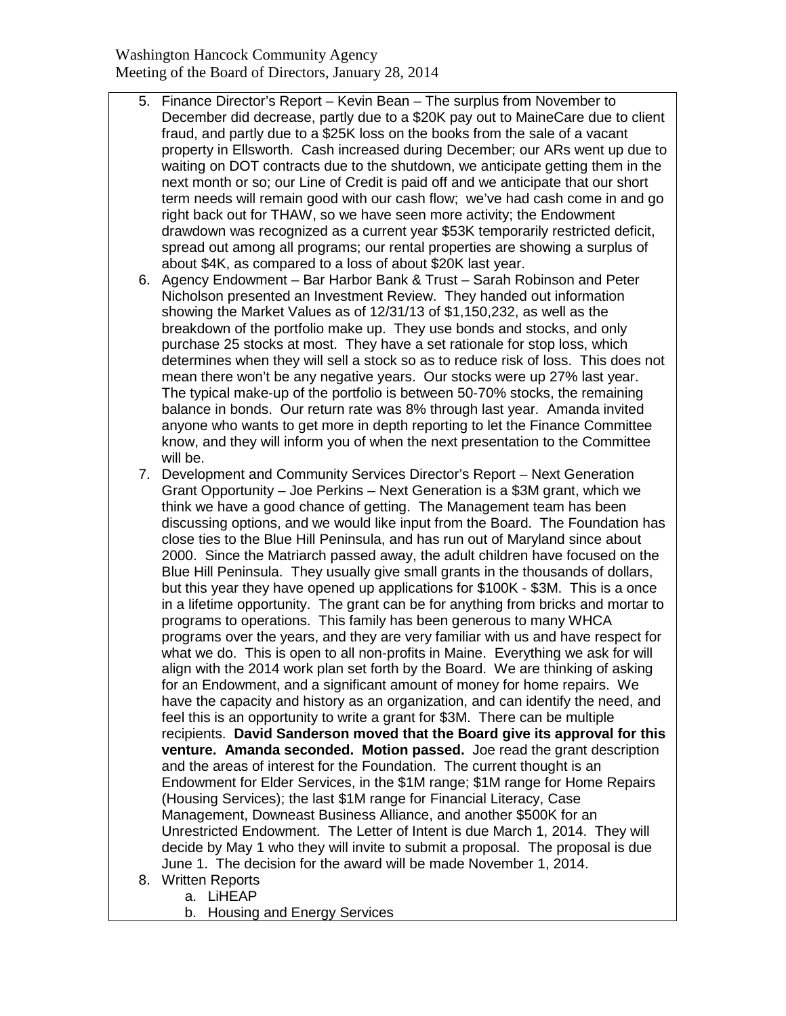Washington Hancock Community Agency Meeting of the Board of Directors, January 28, 2014

- 5. Finance Director's Report Kevin Bean The surplus from November to December did decrease, partly due to a \$20K pay out to MaineCare due to client fraud, and partly due to a \$25K loss on the books from the sale of a vacant property in Ellsworth. Cash increased during December; our ARs went up due to waiting on DOT contracts due to the shutdown, we anticipate getting them in the next month or so; our Line of Credit is paid off and we anticipate that our short term needs will remain good with our cash flow; we've had cash come in and go right back out for THAW, so we have seen more activity; the Endowment drawdown was recognized as a current year \$53K temporarily restricted deficit, spread out among all programs; our rental properties are showing a surplus of about \$4K, as compared to a loss of about \$20K last year.
- 6. Agency Endowment Bar Harbor Bank & Trust Sarah Robinson and Peter Nicholson presented an Investment Review. They handed out information showing the Market Values as of 12/31/13 of \$1,150,232, as well as the breakdown of the portfolio make up. They use bonds and stocks, and only purchase 25 stocks at most. They have a set rationale for stop loss, which determines when they will sell a stock so as to reduce risk of loss. This does not mean there won't be any negative years. Our stocks were up 27% last year. The typical make-up of the portfolio is between 50-70% stocks, the remaining balance in bonds. Our return rate was 8% through last year. Amanda invited anyone who wants to get more in depth reporting to let the Finance Committee know, and they will inform you of when the next presentation to the Committee will be.
- 7. Development and Community Services Director's Report Next Generation Grant Opportunity – Joe Perkins – Next Generation is a \$3M grant, which we think we have a good chance of getting. The Management team has been discussing options, and we would like input from the Board. The Foundation has close ties to the Blue Hill Peninsula, and has run out of Maryland since about 2000. Since the Matriarch passed away, the adult children have focused on the Blue Hill Peninsula. They usually give small grants in the thousands of dollars, but this year they have opened up applications for \$100K - \$3M. This is a once in a lifetime opportunity. The grant can be for anything from bricks and mortar to programs to operations. This family has been generous to many WHCA programs over the years, and they are very familiar with us and have respect for what we do. This is open to all non-profits in Maine. Everything we ask for will align with the 2014 work plan set forth by the Board. We are thinking of asking for an Endowment, and a significant amount of money for home repairs. We have the capacity and history as an organization, and can identify the need, and feel this is an opportunity to write a grant for \$3M. There can be multiple recipients. **David Sanderson moved that the Board give its approval for this venture. Amanda seconded. Motion passed.** Joe read the grant description and the areas of interest for the Foundation. The current thought is an Endowment for Elder Services, in the \$1M range; \$1M range for Home Repairs (Housing Services); the last \$1M range for Financial Literacy, Case Management, Downeast Business Alliance, and another \$500K for an Unrestricted Endowment. The Letter of Intent is due March 1, 2014. They will decide by May 1 who they will invite to submit a proposal. The proposal is due June 1. The decision for the award will be made November 1, 2014.
- 8. Written Reports
	- a. LiHEAP
	- b. Housing and Energy Services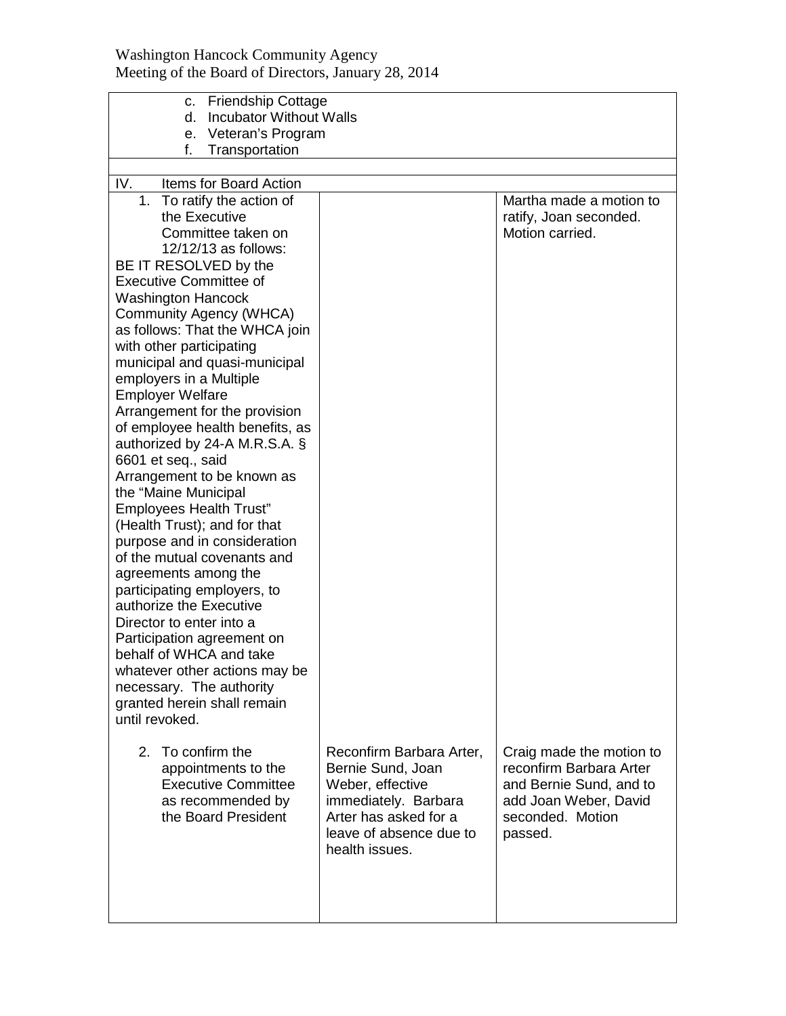|                                                    | c. Friendship Cottage                         |                                                     |  |  |  |  |  |
|----------------------------------------------------|-----------------------------------------------|-----------------------------------------------------|--|--|--|--|--|
| d.                                                 | <b>Incubator Without Walls</b>                |                                                     |  |  |  |  |  |
|                                                    | e. Veteran's Program                          |                                                     |  |  |  |  |  |
| f.<br>Transportation                               |                                               |                                                     |  |  |  |  |  |
|                                                    |                                               |                                                     |  |  |  |  |  |
| IV.<br>Items for Board Action                      |                                               |                                                     |  |  |  |  |  |
| 1.<br>To ratify the action of<br>the Executive     |                                               | Martha made a motion to                             |  |  |  |  |  |
| Committee taken on                                 |                                               | ratify, Joan seconded.<br>Motion carried.           |  |  |  |  |  |
| 12/12/13 as follows:                               |                                               |                                                     |  |  |  |  |  |
| BE IT RESOLVED by the                              |                                               |                                                     |  |  |  |  |  |
| <b>Executive Committee of</b>                      |                                               |                                                     |  |  |  |  |  |
| <b>Washington Hancock</b>                          |                                               |                                                     |  |  |  |  |  |
| Community Agency (WHCA)                            |                                               |                                                     |  |  |  |  |  |
| as follows: That the WHCA join                     |                                               |                                                     |  |  |  |  |  |
| with other participating                           |                                               |                                                     |  |  |  |  |  |
| municipal and quasi-municipal                      |                                               |                                                     |  |  |  |  |  |
| employers in a Multiple                            |                                               |                                                     |  |  |  |  |  |
| <b>Employer Welfare</b>                            |                                               |                                                     |  |  |  |  |  |
| Arrangement for the provision                      |                                               |                                                     |  |  |  |  |  |
| of employee health benefits, as                    |                                               |                                                     |  |  |  |  |  |
| authorized by 24-A M.R.S.A. §                      |                                               |                                                     |  |  |  |  |  |
| 6601 et seq., said                                 |                                               |                                                     |  |  |  |  |  |
| Arrangement to be known as<br>the "Maine Municipal |                                               |                                                     |  |  |  |  |  |
| <b>Employees Health Trust"</b>                     |                                               |                                                     |  |  |  |  |  |
| (Health Trust); and for that                       |                                               |                                                     |  |  |  |  |  |
| purpose and in consideration                       |                                               |                                                     |  |  |  |  |  |
| of the mutual covenants and                        |                                               |                                                     |  |  |  |  |  |
| agreements among the                               |                                               |                                                     |  |  |  |  |  |
| participating employers, to                        |                                               |                                                     |  |  |  |  |  |
| authorize the Executive                            |                                               |                                                     |  |  |  |  |  |
| Director to enter into a                           |                                               |                                                     |  |  |  |  |  |
| Participation agreement on                         |                                               |                                                     |  |  |  |  |  |
| behalf of WHCA and take                            |                                               |                                                     |  |  |  |  |  |
| whatever other actions may be                      |                                               |                                                     |  |  |  |  |  |
| necessary. The authority                           |                                               |                                                     |  |  |  |  |  |
| granted herein shall remain                        |                                               |                                                     |  |  |  |  |  |
| until revoked.                                     |                                               |                                                     |  |  |  |  |  |
| 2. To confirm the                                  |                                               |                                                     |  |  |  |  |  |
| appointments to the                                | Reconfirm Barbara Arter,<br>Bernie Sund, Joan | Craig made the motion to<br>reconfirm Barbara Arter |  |  |  |  |  |
| <b>Executive Committee</b>                         | Weber, effective                              | and Bernie Sund, and to                             |  |  |  |  |  |
| as recommended by                                  | immediately. Barbara                          | add Joan Weber, David                               |  |  |  |  |  |
| the Board President                                | Arter has asked for a                         | seconded. Motion                                    |  |  |  |  |  |
|                                                    | leave of absence due to                       | passed.                                             |  |  |  |  |  |
|                                                    | health issues.                                |                                                     |  |  |  |  |  |
|                                                    |                                               |                                                     |  |  |  |  |  |
|                                                    |                                               |                                                     |  |  |  |  |  |
|                                                    |                                               |                                                     |  |  |  |  |  |
|                                                    |                                               |                                                     |  |  |  |  |  |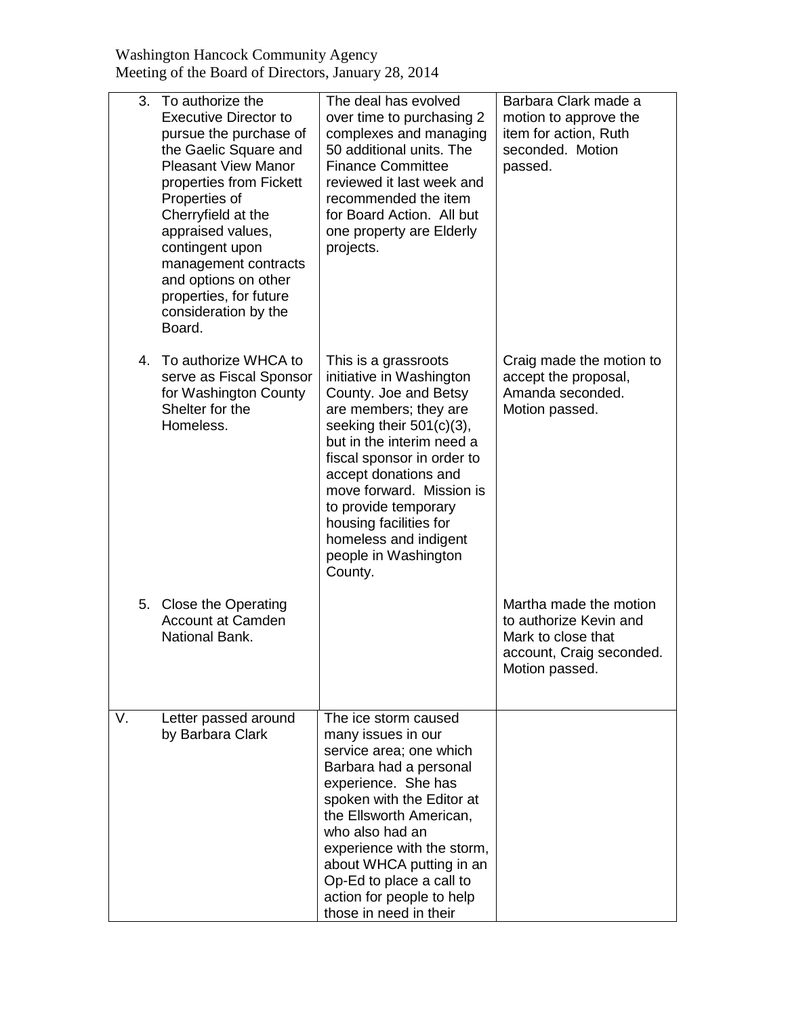Washington Hancock Community Agency Meeting of the Board of Directors, January 28, 2014

|    | 3.<br>To authorize the<br><b>Executive Director to</b><br>pursue the purchase of<br>the Gaelic Square and<br><b>Pleasant View Manor</b><br>properties from Fickett<br>Properties of<br>Cherryfield at the<br>appraised values,<br>contingent upon<br>management contracts<br>and options on other<br>properties, for future<br>consideration by the<br>Board. | The deal has evolved<br>over time to purchasing 2<br>complexes and managing<br>50 additional units. The<br><b>Finance Committee</b><br>reviewed it last week and<br>recommended the item<br>for Board Action. All but<br>one property are Elderly<br>projects.                                                                                                 | Barbara Clark made a<br>motion to approve the<br>item for action, Ruth<br>seconded. Motion<br>passed.                |
|----|---------------------------------------------------------------------------------------------------------------------------------------------------------------------------------------------------------------------------------------------------------------------------------------------------------------------------------------------------------------|----------------------------------------------------------------------------------------------------------------------------------------------------------------------------------------------------------------------------------------------------------------------------------------------------------------------------------------------------------------|----------------------------------------------------------------------------------------------------------------------|
|    | To authorize WHCA to<br>4.<br>serve as Fiscal Sponsor<br>for Washington County<br>Shelter for the<br>Homeless.                                                                                                                                                                                                                                                | This is a grassroots<br>initiative in Washington<br>County. Joe and Betsy<br>are members; they are<br>seeking their $501(c)(3)$ ,<br>but in the interim need a<br>fiscal sponsor in order to<br>accept donations and<br>move forward. Mission is<br>to provide temporary<br>housing facilities for<br>homeless and indigent<br>people in Washington<br>County. | Craig made the motion to<br>accept the proposal,<br>Amanda seconded.<br>Motion passed.                               |
|    | 5. Close the Operating<br><b>Account at Camden</b><br>National Bank.                                                                                                                                                                                                                                                                                          |                                                                                                                                                                                                                                                                                                                                                                | Martha made the motion<br>to authorize Kevin and<br>Mark to close that<br>account, Craig seconded.<br>Motion passed. |
| V. | Letter passed around<br>by Barbara Clark                                                                                                                                                                                                                                                                                                                      | The ice storm caused<br>many issues in our<br>service area; one which<br>Barbara had a personal<br>experience. She has<br>spoken with the Editor at<br>the Ellsworth American,<br>who also had an<br>experience with the storm,<br>about WHCA putting in an<br>Op-Ed to place a call to<br>action for people to help<br>those in need in their                 |                                                                                                                      |